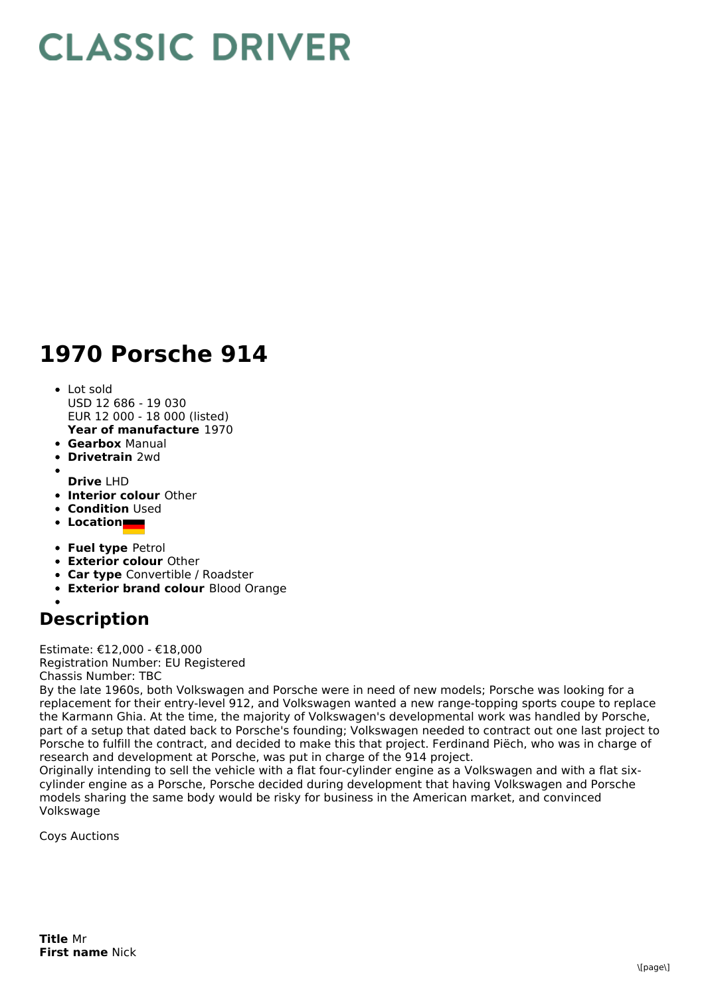## **CLASSIC DRIVER**

## **1970 Porsche 914**

- **Year of manufacture** 1970 Lot sold USD 12 686 - 19 030 EUR 12 000 - 18 000 (listed)
- **Gearbox** Manual
- **Drivetrain** 2wd
- **Drive** LHD
- **Interior colour** Other
- **Condition** Used
- **Location**
- **Fuel type** Petrol
- **Exterior colour** Other
- **Car type** Convertible / Roadster
- **Exterior brand colour** Blood Orange

## **Description**

Estimate: €12,000 - €18,000 Registration Number: EU Registered Chassis Number: TBC

By the late 1960s, both Volkswagen and Porsche were in need of new models; Porsche was looking for a replacement for their entry-level 912, and Volkswagen wanted a new range-topping sports coupe to replace the Karmann Ghia. At the time, the majority of Volkswagen's developmental work was handled by Porsche, part of a setup that dated back to Porsche's founding; Volkswagen needed to contract out one last project to Porsche to fulfill the contract, and decided to make this that project. Ferdinand Piëch, who was in charge of research and development at Porsche, was put in charge of the 914 project.

Originally intending to sell the vehicle with a flat four-cylinder engine as a Volkswagen and with a flat sixcylinder engine as a Porsche, Porsche decided during development that having Volkswagen and Porsche models sharing the same body would be risky for business in the American market, and convinced Volkswage

Coys Auctions